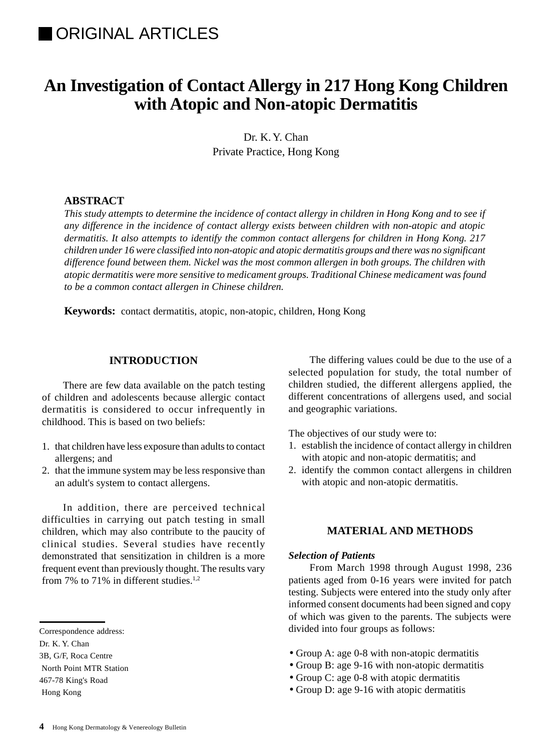# **IORIGINAL ARTICLES**

# **An Investigation of Contact Allergy in 217 Hong Kong Children with Atopic and Non-atopic Dermatitis**

Dr. K. Y. Chan Private Practice, Hong Kong

## **ABSTRACT**

*This study attempts to determine the incidence of contact allergy in children in Hong Kong and to see if any difference in the incidence of contact allergy exists between children with non-atopic and atopic dermatitis. It also attempts to identify the common contact allergens for children in Hong Kong. 217 children under 16 were classified into non-atopic and atopic dermatitis groups and there was no significant difference found between them. Nickel was the most common allergen in both groups. The children with atopic dermatitis were more sensitive to medicament groups. Traditional Chinese medicament was found to be a common contact allergen in Chinese children.*

**Keywords:** contact dermatitis, atopic, non-atopic, children, Hong Kong

## **INTRODUCTION**

There are few data available on the patch testing of children and adolescents because allergic contact dermatitis is considered to occur infrequently in childhood. This is based on two beliefs:

- 1. that children have less exposure than adults to contact allergens; and
- 2. that the immune system may be less responsive than an adult's system to contact allergens.

In addition, there are perceived technical difficulties in carrying out patch testing in small children, which may also contribute to the paucity of clinical studies. Several studies have recently demonstrated that sensitization in children is a more frequent event than previously thought. The results vary from 7% to 71% in different studies.<sup>1,2</sup>

The differing values could be due to the use of a selected population for study, the total number of children studied, the different allergens applied, the different concentrations of allergens used, and social and geographic variations.

The objectives of our study were to:

- 1. establish the incidence of contact allergy in children with atopic and non-atopic dermatitis; and
- 2. identify the common contact allergens in children with atopic and non-atopic dermatitis.

## **MATERIAL AND METHODS**

#### *Selection of Patients*

From March 1998 through August 1998, 236 patients aged from 0-16 years were invited for patch testing. Subjects were entered into the study only after informed consent documents had been signed and copy of which was given to the parents. The subjects were divided into four groups as follows:

- Group A: age 0-8 with non-atopic dermatitis
- Group B: age 9-16 with non-atopic dermatitis
- Group C: age 0-8 with atopic dermatitis
- Group D: age 9-16 with atopic dermatitis

Correspondence address:

Dr. K. Y. Chan

<sup>3</sup>B, G/F, Roca Centre

North Point MTR Station

<sup>467-78</sup> King's Road

Hong Kong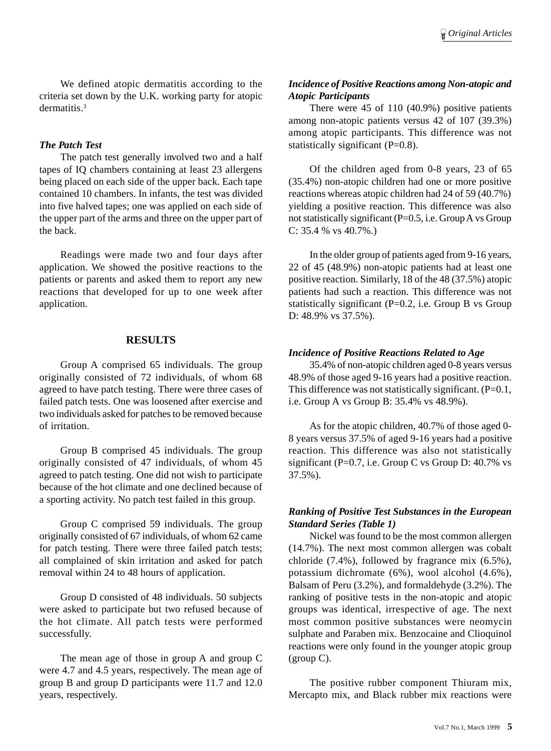We defined atopic dermatitis according to the criteria set down by the U.K. working party for atopic dermatitis.3

#### *The Patch Test*

The patch test generally involved two and a half tapes of IQ chambers containing at least 23 allergens being placed on each side of the upper back. Each tape contained 10 chambers. In infants, the test was divided into five halved tapes; one was applied on each side of the upper part of the arms and three on the upper part of the back.

Readings were made two and four days after application. We showed the positive reactions to the patients or parents and asked them to report any new reactions that developed for up to one week after application.

### **RESULTS**

Group A comprised 65 individuals. The group originally consisted of 72 individuals, of whom 68 agreed to have patch testing. There were three cases of failed patch tests. One was loosened after exercise and two individuals asked for patches to be removed because of irritation.

Group B comprised 45 individuals. The group originally consisted of 47 individuals, of whom 45 agreed to patch testing. One did not wish to participate because of the hot climate and one declined because of a sporting activity. No patch test failed in this group.

Group C comprised 59 individuals. The group originally consisted of 67 individuals, of whom 62 came for patch testing. There were three failed patch tests; all complained of skin irritation and asked for patch removal within 24 to 48 hours of application.

Group D consisted of 48 individuals. 50 subjects were asked to participate but two refused because of the hot climate. All patch tests were performed successfully.

The mean age of those in group A and group C were 4.7 and 4.5 years, respectively. The mean age of group B and group D participants were 11.7 and 12.0 years, respectively.

## *Incidence of Positive Reactions among Non-atopic and Atopic Participants*

There were 45 of 110 (40.9%) positive patients among non-atopic patients versus 42 of 107 (39.3%) among atopic participants. This difference was not statistically significant (P=0.8).

Of the children aged from 0-8 years, 23 of 65 (35.4%) non-atopic children had one or more positive reactions whereas atopic children had 24 of 59 (40.7%) yielding a positive reaction. This difference was also not statistically significant  $(P=0.5, i.e. Group A vs Group$ C: 35.4 % vs 40.7%.)

In the older group of patients aged from 9-16 years, 22 of 45 (48.9%) non-atopic patients had at least one positive reaction. Similarly, 18 of the 48 (37.5%) atopic patients had such a reaction. This difference was not statistically significant  $(P=0.2, i.e.$  Group B vs Group D: 48.9% vs 37.5%).

#### *Incidence of Positive Reactions Related to Age*

35.4% of non-atopic children aged 0-8 years versus 48.9% of those aged 9-16 years had a positive reaction. This difference was not statistically significant. (P=0.1, i.e. Group A vs Group B: 35.4% vs 48.9%).

As for the atopic children, 40.7% of those aged 0- 8 years versus 37.5% of aged 9-16 years had a positive reaction. This difference was also not statistically significant (P=0.7, i.e. Group C vs Group D: 40.7% vs 37.5%).

## *Ranking of Positive Test Substances in the European Standard Series (Table 1)*

Nickel was found to be the most common allergen (14.7%). The next most common allergen was cobalt chloride (7.4%), followed by fragrance mix (6.5%), potassium dichromate (6%), wool alcohol (4.6%), Balsam of Peru (3.2%), and formaldehyde (3.2%). The ranking of positive tests in the non-atopic and atopic groups was identical, irrespective of age. The next most common positive substances were neomycin sulphate and Paraben mix. Benzocaine and Clioquinol reactions were only found in the younger atopic group (group C).

The positive rubber component Thiuram mix, Mercapto mix, and Black rubber mix reactions were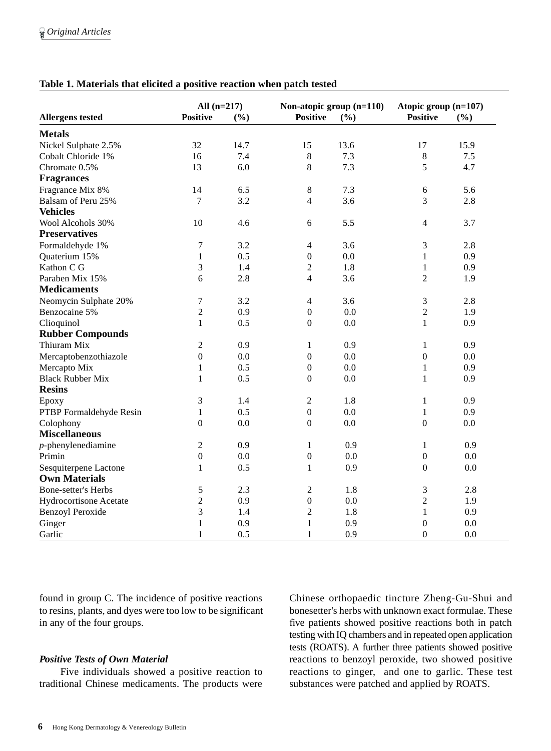| <b>Allergens tested</b>    | All $(n=217)$    |      | Non-atopic group (n=110)                                     |      | Atopic group (n=107) |         |
|----------------------------|------------------|------|--------------------------------------------------------------|------|----------------------|---------|
|                            | <b>Positive</b>  | (%)  | <b>Positive</b>                                              | (%)  | <b>Positive</b>      | (%)     |
| <b>Metals</b>              |                  |      |                                                              |      |                      |         |
| Nickel Sulphate 2.5%       | 32               | 14.7 | 15                                                           | 13.6 | 17                   | 15.9    |
| Cobalt Chloride 1%         | 16               | 7.4  | $\,8\,$                                                      | 7.3  | $\,8\,$              | 7.5     |
| Chromate 0.5%              | 13               | 6.0  | $\,8\,$                                                      | 7.3  | 5                    | 4.7     |
| <b>Fragrances</b>          |                  |      |                                                              |      |                      |         |
| Fragrance Mix 8%           | 14               | 6.5  | $\,8\,$                                                      | 7.3  | 6                    | 5.6     |
| Balsam of Peru 25%         | $\tau$           | 3.2  | $\overline{4}$                                               | 3.6  | 3                    | 2.8     |
| <b>Vehicles</b>            |                  |      |                                                              |      |                      |         |
| Wool Alcohols 30%          | 10               | 4.6  | 6                                                            | 5.5  | $\overline{4}$       | 3.7     |
| <b>Preservatives</b>       |                  |      |                                                              |      |                      |         |
| Formaldehyde 1%            | $\tau$           | 3.2  | $\overline{4}$                                               | 3.6  | 3                    | 2.8     |
| Quaterium 15%              | $\mathbf{1}$     | 0.5  | $\boldsymbol{0}$                                             | 0.0  | $\mathbf{1}$         | 0.9     |
| Kathon C G                 | $\mathfrak{Z}$   | 1.4  | $\boldsymbol{2}$                                             | 1.8  | $\mathbf{1}$         | 0.9     |
| Paraben Mix 15%            | 6                | 2.8  | $\overline{4}$                                               | 3.6  | $\overline{2}$       | 1.9     |
| <b>Medicaments</b>         |                  |      |                                                              |      |                      |         |
| Neomycin Sulphate 20%      | $\tau$           | 3.2  | $\overline{4}$                                               | 3.6  | 3                    | 2.8     |
| Benzocaine 5%              | $\overline{2}$   | 0.9  | $\boldsymbol{0}$                                             | 0.0  | $\sqrt{2}$           | 1.9     |
| Clioquinol                 | $\mathbf{1}$     | 0.5  | $\boldsymbol{0}$                                             | 0.0  | $\mathbf{1}$         | 0.9     |
| <b>Rubber Compounds</b>    |                  |      |                                                              |      |                      |         |
| Thiuram Mix                | $\overline{2}$   | 0.9  | $\mathbf{1}$                                                 | 0.9  | $\mathbf{1}$         | 0.9     |
| Mercaptobenzothiazole      | $\boldsymbol{0}$ | 0.0  | $\boldsymbol{0}$                                             | 0.0  | $\boldsymbol{0}$     | 0.0     |
| Mercapto Mix               | $\mathbf{1}$     | 0.5  | $\boldsymbol{0}$                                             | 0.0  | $\mathbf{1}$         | 0.9     |
| <b>Black Rubber Mix</b>    | $\mathbf{1}$     | 0.5  | $\mathbf{0}$                                                 | 0.0  | $\mathbf{1}$         | 0.9     |
| <b>Resins</b>              |                  |      |                                                              |      |                      |         |
| Epoxy                      | $\mathfrak{Z}$   | 1.4  | $\sqrt{2}$                                                   | 1.8  | $\mathbf{1}$         | 0.9     |
| PTBP Formaldehyde Resin    | $\mathbf{1}$     | 0.5  | $\boldsymbol{0}$                                             | 0.0  | $\mathbf{1}$         | 0.9     |
| Colophony                  | $\boldsymbol{0}$ | 0.0  | $\mathbf{0}$                                                 | 0.0  | $\boldsymbol{0}$     | 0.0     |
| <b>Miscellaneous</b>       |                  |      |                                                              |      |                      |         |
| $p$ -phenylenediamine      | $\overline{2}$   | 0.9  | $\mathbf{1}$                                                 | 0.9  | 1                    | 0.9     |
| Primin                     | $\overline{0}$   | 0.0  | $\boldsymbol{0}$                                             | 0.0  | $\mathbf{0}$         | 0.0     |
| Sesquiterpene Lactone      | $\mathbf{1}$     | 0.5  | 1                                                            | 0.9  | $\mathbf{0}$         | $0.0\,$ |
| <b>Own Materials</b>       |                  |      |                                                              |      |                      |         |
| <b>Bone-setter's Herbs</b> | $\sqrt{5}$       | 2.3  | $\sqrt{2}$                                                   | 1.8  | 3                    | 2.8     |
| Hydrocortisone Acetate     | $\sqrt{2}$       | 0.9  | $\boldsymbol{0}$                                             | 0.0  | $\overline{2}$       | 1.9     |
| <b>Benzoyl Peroxide</b>    | 3                | 1.4  | $\mathfrak{2}% =\mathfrak{2}\left( \mathfrak{2}\right) ^{2}$ | 1.8  | $\mathbf{1}$         | 0.9     |
| Ginger                     | 1                | 0.9  | $\mathbf{1}$                                                 | 0.9  | $\mathbf{0}$         | 0.0     |
| Garlic                     | 1                | 0.5  | 1                                                            | 0.9  | $\theta$             | 0.0     |

## **Table 1. Materials that elicited a positive reaction when patch tested**

found in group C. The incidence of positive reactions to resins, plants, and dyes were too low to be significant in any of the four groups.

### *Positive Tests of Own Material*

Five individuals showed a positive reaction to traditional Chinese medicaments. The products were

Chinese orthopaedic tincture Zheng-Gu-Shui and bonesetter's herbs with unknown exact formulae. These five patients showed positive reactions both in patch testing with IQ chambers and in repeated open application tests (ROATS). A further three patients showed positive reactions to benzoyl peroxide, two showed positive reactions to ginger, and one to garlic. These test substances were patched and applied by ROATS.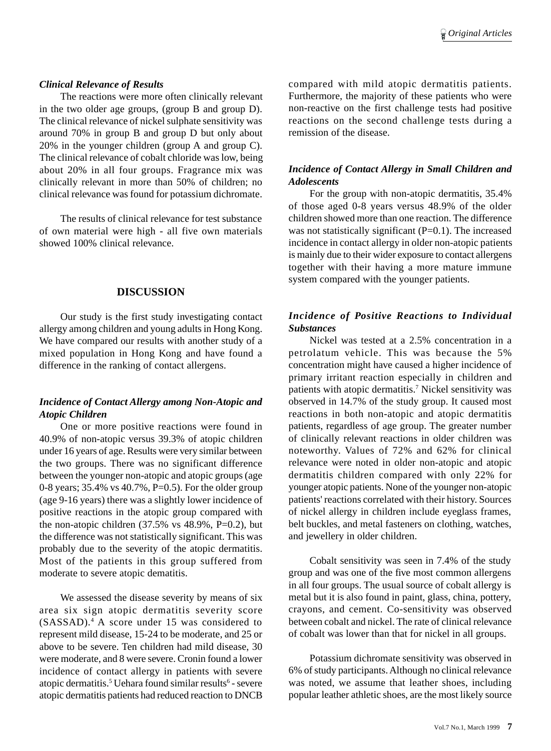#### *Clinical Relevance of Results*

The reactions were more often clinically relevant in the two older age groups, (group B and group D). The clinical relevance of nickel sulphate sensitivity was around 70% in group B and group D but only about 20% in the younger children (group A and group C). The clinical relevance of cobalt chloride was low, being about 20% in all four groups. Fragrance mix was clinically relevant in more than 50% of children; no clinical relevance was found for potassium dichromate.

The results of clinical relevance for test substance of own material were high - all five own materials showed 100% clinical relevance.

## **DISCUSSION**

Our study is the first study investigating contact allergy among children and young adults in Hong Kong. We have compared our results with another study of a mixed population in Hong Kong and have found a difference in the ranking of contact allergens.

## *Incidence of Contact Allergy among Non-Atopic and Atopic Children*

One or more positive reactions were found in 40.9% of non-atopic versus 39.3% of atopic children under 16 years of age. Results were very similar between the two groups. There was no significant difference between the younger non-atopic and atopic groups (age 0-8 years; 35.4% vs 40.7%, P=0.5). For the older group (age 9-16 years) there was a slightly lower incidence of positive reactions in the atopic group compared with the non-atopic children  $(37.5\% \text{ vs } 48.9\% , P=0.2)$ , but the difference was not statistically significant. This was probably due to the severity of the atopic dermatitis. Most of the patients in this group suffered from moderate to severe atopic dematitis.

We assessed the disease severity by means of six area six sign atopic dermatitis severity score (SASSAD).4 A score under 15 was considered to represent mild disease, 15-24 to be moderate, and 25 or above to be severe. Ten children had mild disease, 30 were moderate, and 8 were severe. Cronin found a lower incidence of contact allergy in patients with severe atopic dermatitis.<sup>5</sup> Uehara found similar results<sup>6</sup> - severe atopic dermatitis patients had reduced reaction to DNCB

compared with mild atopic dermatitis patients. Furthermore, the majority of these patients who were non-reactive on the first challenge tests had positive reactions on the second challenge tests during a remission of the disease.

## *Incidence of Contact Allergy in Small Children and Adolescents*

For the group with non-atopic dermatitis,  $35.4\%$ of those aged 0-8 years versus 48.9% of the older children showed more than one reaction. The difference was not statistically significant  $(P=0.1)$ . The increased incidence in contact allergy in older non-atopic patients is mainly due to their wider exposure to contact allergens together with their having a more mature immune system compared with the younger patients.

## *Incidence of Positive Reactions to Individual Substances*

Nickel was tested at a 2.5% concentration in a petrolatum vehicle. This was because the 5% concentration might have caused a higher incidence of primary irritant reaction especially in children and patients with atopic dermatitis.7 Nickel sensitivity was observed in 14.7% of the study group. It caused most reactions in both non-atopic and atopic dermatitis patients, regardless of age group. The greater number of clinically relevant reactions in older children was noteworthy. Values of 72% and 62% for clinical relevance were noted in older non-atopic and atopic dermatitis children compared with only 22% for younger atopic patients. None of the younger non-atopic patients' reactions correlated with their history. Sources of nickel allergy in children include eyeglass frames, belt buckles, and metal fasteners on clothing, watches, and jewellery in older children.

Cobalt sensitivity was seen in 7.4% of the study group and was one of the five most common allergens in all four groups. The usual source of cobalt allergy is metal but it is also found in paint, glass, china, pottery, crayons, and cement. Co-sensitivity was observed between cobalt and nickel. The rate of clinical relevance of cobalt was lower than that for nickel in all groups.

Potassium dichromate sensitivity was observed in 6% of study participants. Although no clinical relevance was noted, we assume that leather shoes, including popular leather athletic shoes, are the most likely source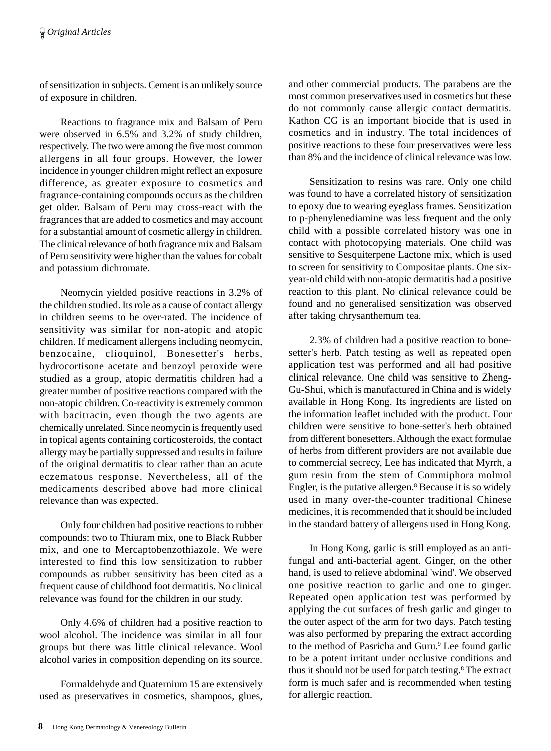of sensitization in subjects. Cement is an unlikely source of exposure in children.

Reactions to fragrance mix and Balsam of Peru were observed in 6.5% and 3.2% of study children, respectively. The two were among the five most common allergens in all four groups. However, the lower incidence in younger children might reflect an exposure difference, as greater exposure to cosmetics and fragrance-containing compounds occurs as the children get older. Balsam of Peru may cross-react with the fragrances that are added to cosmetics and may account for a substantial amount of cosmetic allergy in children. The clinical relevance of both fragrance mix and Balsam of Peru sensitivity were higher than the values for cobalt and potassium dichromate.

Neomycin yielded positive reactions in 3.2% of the children studied. Its role as a cause of contact allergy in children seems to be over-rated. The incidence of sensitivity was similar for non-atopic and atopic children. If medicament allergens including neomycin, benzocaine, clioquinol, Bonesetter's herbs, hydrocortisone acetate and benzoyl peroxide were studied as a group, atopic dermatitis children had a greater number of positive reactions compared with the non-atopic children. Co-reactivity is extremely common with bacitracin, even though the two agents are chemically unrelated. Since neomycin is frequently used in topical agents containing corticosteroids, the contact allergy may be partially suppressed and results in failure of the original dermatitis to clear rather than an acute eczematous response. Nevertheless, all of the medicaments described above had more clinical relevance than was expected.

Only four children had positive reactions to rubber compounds: two to Thiuram mix, one to Black Rubber mix, and one to Mercaptobenzothiazole. We were interested to find this low sensitization to rubber compounds as rubber sensitivity has been cited as a frequent cause of childhood foot dermatitis. No clinical relevance was found for the children in our study.

Only 4.6% of children had a positive reaction to wool alcohol. The incidence was similar in all four groups but there was little clinical relevance. Wool alcohol varies in composition depending on its source.

Formaldehyde and Quaternium 15 are extensively used as preservatives in cosmetics, shampoos, glues, and other commercial products. The parabens are the most common preservatives used in cosmetics but these do not commonly cause allergic contact dermatitis. Kathon CG is an important biocide that is used in cosmetics and in industry. The total incidences of positive reactions to these four preservatives were less than 8% and the incidence of clinical relevance was low.

Sensitization to resins was rare. Only one child was found to have a correlated history of sensitization to epoxy due to wearing eyeglass frames. Sensitization to p-phenylenediamine was less frequent and the only child with a possible correlated history was one in contact with photocopying materials. One child was sensitive to Sesquiterpene Lactone mix, which is used to screen for sensitivity to Compositae plants. One sixyear-old child with non-atopic dermatitis had a positive reaction to this plant. No clinical relevance could be found and no generalised sensitization was observed after taking chrysanthemum tea.

2.3% of children had a positive reaction to bonesetter's herb. Patch testing as well as repeated open application test was performed and all had positive clinical relevance. One child was sensitive to Zheng-Gu-Shui, which is manufactured in China and is widely available in Hong Kong. Its ingredients are listed on the information leaflet included with the product. Four children were sensitive to bone-setter's herb obtained from different bonesetters. Although the exact formulae of herbs from different providers are not available due to commercial secrecy, Lee has indicated that Myrrh, a gum resin from the stem of Commiphora molmol Engler, is the putative allergen.<sup>8</sup> Because it is so widely used in many over-the-counter traditional Chinese medicines, it is recommended that it should be included in the standard battery of allergens used in Hong Kong.

In Hong Kong, garlic is still employed as an antifungal and anti-bacterial agent. Ginger, on the other hand, is used to relieve abdominal 'wind'. We observed one positive reaction to garlic and one to ginger. Repeated open application test was performed by applying the cut surfaces of fresh garlic and ginger to the outer aspect of the arm for two days. Patch testing was also performed by preparing the extract according to the method of Pasricha and Guru.<sup>9</sup> Lee found garlic to be a potent irritant under occlusive conditions and thus it should not be used for patch testing.<sup>8</sup> The extract form is much safer and is recommended when testing for allergic reaction.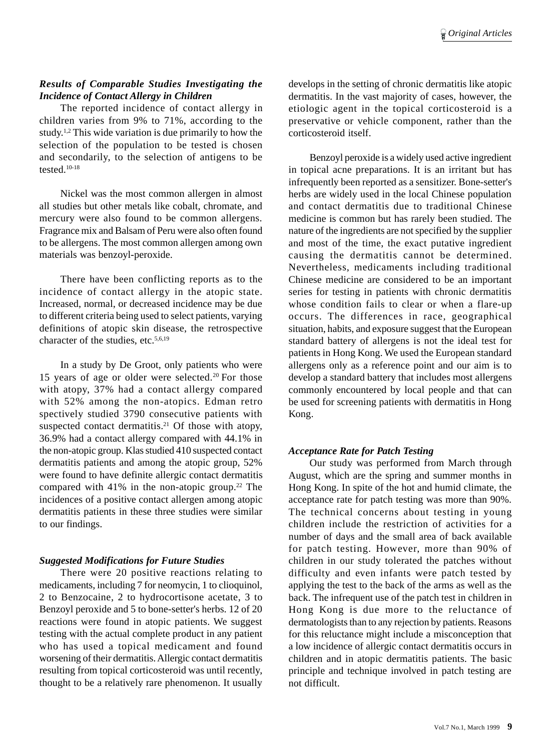### *Results of Comparable Studies Investigating the Incidence of Contact Allergy in Children*

The reported incidence of contact allergy in children varies from 9% to 71%, according to the study.1,2 This wide variation is due primarily to how the selection of the population to be tested is chosen and secondarily, to the selection of antigens to be tested.10-18

Nickel was the most common allergen in almost all studies but other metals like cobalt, chromate, and mercury were also found to be common allergens. Fragrance mix and Balsam of Peru were also often found to be allergens. The most common allergen among own materials was benzoyl-peroxide.

There have been conflicting reports as to the incidence of contact allergy in the atopic state. Increased, normal, or decreased incidence may be due to different criteria being used to select patients, varying definitions of atopic skin disease, the retrospective character of the studies, etc.<sup>5,6,19</sup>

In a study by De Groot, only patients who were 15 years of age or older were selected.20 For those with atopy, 37% had a contact allergy compared with 52% among the non-atopics. Edman retro spectively studied 3790 consecutive patients with suspected contact dermatitis.<sup>21</sup> Of those with atopy, 36.9% had a contact allergy compared with 44.1% in the non-atopic group. Klas studied 410 suspected contact dermatitis patients and among the atopic group, 52% were found to have definite allergic contact dermatitis compared with  $41\%$  in the non-atopic group.<sup>22</sup> The incidences of a positive contact allergen among atopic dermatitis patients in these three studies were similar to our findings.

### *Suggested Modifications for Future Studies*

There were 20 positive reactions relating to medicaments, including 7 for neomycin, 1 to clioquinol, 2 to Benzocaine, 2 to hydrocortisone acetate, 3 to Benzoyl peroxide and 5 to bone-setter's herbs. 12 of 20 reactions were found in atopic patients. We suggest testing with the actual complete product in any patient who has used a topical medicament and found worsening of their dermatitis. Allergic contact dermatitis resulting from topical corticosteroid was until recently, thought to be a relatively rare phenomenon. It usually develops in the setting of chronic dermatitis like atopic dermatitis. In the vast majority of cases, however, the etiologic agent in the topical corticosteroid is a preservative or vehicle component, rather than the corticosteroid itself.

Benzoyl peroxide is a widely used active ingredient in topical acne preparations. It is an irritant but has infrequently been reported as a sensitizer. Bone-setter's herbs are widely used in the local Chinese population and contact dermatitis due to traditional Chinese medicine is common but has rarely been studied. The nature of the ingredients are not specified by the supplier and most of the time, the exact putative ingredient causing the dermatitis cannot be determined. Nevertheless, medicaments including traditional Chinese medicine are considered to be an important series for testing in patients with chronic dermatitis whose condition fails to clear or when a flare-up occurs. The differences in race, geographical situation, habits, and exposure suggest that the European standard battery of allergens is not the ideal test for patients in Hong Kong. We used the European standard allergens only as a reference point and our aim is to develop a standard battery that includes most allergens commonly encountered by local people and that can be used for screening patients with dermatitis in Hong Kong.

## *Acceptance Rate for Patch Testing*

Our study was performed from March through August, which are the spring and summer months in Hong Kong. In spite of the hot and humid climate, the acceptance rate for patch testing was more than 90%. The technical concerns about testing in young children include the restriction of activities for a number of days and the small area of back available for patch testing. However, more than 90% of children in our study tolerated the patches without difficulty and even infants were patch tested by applying the test to the back of the arms as well as the back. The infrequent use of the patch test in children in Hong Kong is due more to the reluctance of dermatologists than to any rejection by patients. Reasons for this reluctance might include a misconception that a low incidence of allergic contact dermatitis occurs in children and in atopic dermatitis patients. The basic principle and technique involved in patch testing are not difficult.